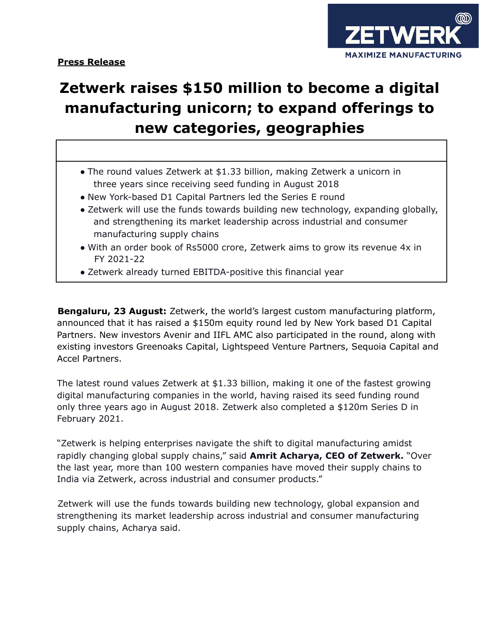



## **Zetwerk raises \$150 million to become a digital manufacturing unicorn; to expand offerings to new categories, geographies**

- The round values Zetwerk at \$1.33 billion, making Zetwerk a unicorn in three years since receiving seed funding in August 2018
- New York-based D1 Capital Partners led the Series E round
- Zetwerk will use the funds towards building new technology, expanding globally, and strengthening its market leadership across industrial and consumer manufacturing supply chains
- With an order book of Rs5000 crore, Zetwerk aims to grow its revenue 4x in FY 2021-22
- Zetwerk already turned EBITDA-positive this financial year

**Bengaluru, 23 August:** Zetwerk, the world's largest custom manufacturing platform, announced that it has raised a \$150m equity round led by New York based D1 Capital Partners. New investors Avenir and IIFL AMC also participated in the round, along with existing investors Greenoaks Capital, Lightspeed Venture Partners, Sequoia Capital and Accel Partners.

The latest round values Zetwerk at \$1.33 billion, making it one of the fastest growing digital manufacturing companies in the world, having raised its seed funding round only three years ago in August 2018. Zetwerk also completed a \$120m Series D in February 2021.

"Zetwerk is helping enterprises navigate the shift to digital manufacturing amidst rapidly changing global supply chains," said **Amrit Acharya, CEO of Zetwerk.** "Over the last year, more than 100 western companies have moved their supply chains to India via Zetwerk, across industrial and consumer products."

Zetwerk will use the funds towards building new technology, global expansion and strengthening its market leadership across industrial and consumer manufacturing supply chains, Acharya said.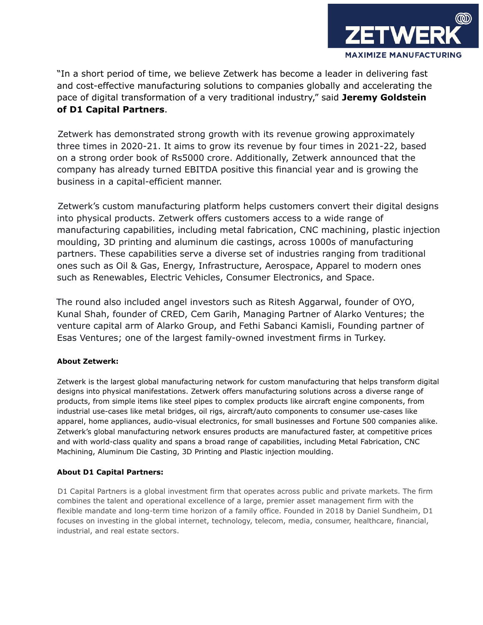

"In a short period of time, we believe Zetwerk has become a leader in delivering fast and cost-effective manufacturing solutions to companies globally and accelerating the pace of digital transformation of a very traditional industry," said **Jeremy Goldstein of D1 Capital Partners**.

Zetwerk has demonstrated strong growth with its revenue growing approximately three times in 2020-21. It aims to grow its revenue by four times in 2021-22, based on a strong order book of Rs5000 crore. Additionally, Zetwerk announced that the company has already turned EBITDA positive this financial year and is growing the business in a capital-efficient manner.

Zetwerk's custom manufacturing platform helps customers convert their digital designs into physical products. Zetwerk offers customers access to a wide range of manufacturing capabilities, including metal fabrication, CNC machining, plastic injection moulding, 3D printing and aluminum die castings, across 1000s of manufacturing partners. These capabilities serve a diverse set of industries ranging from traditional ones such as Oil & Gas, Energy, Infrastructure, Aerospace, Apparel to modern ones such as Renewables, Electric Vehicles, Consumer Electronics, and Space.

The round also included angel investors such as Ritesh Aggarwal, founder of OYO, Kunal Shah, founder of CRED, Cem Garih, Managing Partner of Alarko Ventures; the venture capital arm of Alarko Group, and Fethi Sabanci Kamisli, Founding partner of Esas Ventures; one of the largest family-owned investment firms in Turkey.

## **About Zetwerk:**

Zetwerk is the largest global manufacturing network for custom manufacturing that helps transform digital designs into physical manifestations. Zetwerk offers manufacturing solutions across a diverse range of products, from simple items like steel pipes to complex products like aircraft engine components, from industrial use-cases like metal bridges, oil rigs, aircraft/auto components to consumer use-cases like apparel, home appliances, audio-visual electronics, for small businesses and Fortune 500 companies alike. Zetwerk's global manufacturing network ensures products are manufactured faster, at competitive prices and with world-class quality and spans a broad range of capabilities, including Metal Fabrication, CNC Machining, Aluminum Die Casting, 3D Printing and Plastic injection moulding.

## **About D1 Capital Partners:**

D1 Capital Partners is a global investment firm that operates across public and private markets. The firm combines the talent and operational excellence of a large, premier asset management firm with the flexible mandate and long-term time horizon of a family office. Founded in 2018 by Daniel Sundheim, D1 focuses on investing in the global internet, technology, telecom, media, consumer, healthcare, financial, industrial, and real estate sectors.